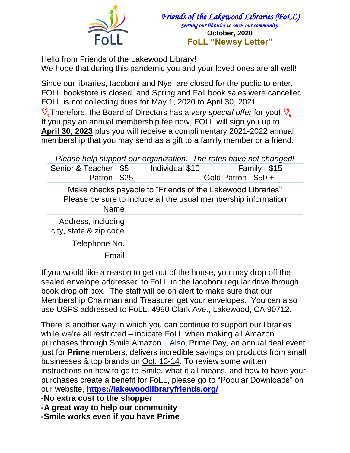

*Friends of the Lakewood Libraries (FoLL) ..Serving our libraries to serve our community...*  **October, 2020 FoLL "Newsy Letter"**

Hello from Friends of the Lakewood Library! We hope that during this pandemic you and your loved ones are all well!

Since our libraries, Iacoboni and Nye, are closed for the public to enter, FOLL bookstore is closed, and Spring and Fall book sales were cancelled, FOLL is not collecting dues for May 1, 2020 to April 30, 2021.

**Therefore, the Board of Directors has a** *very special offer* **for you! S** If you pay an annual membership fee now, FOLL will sign you up to **April 30, 2023** plus you will receive a complimentary 2021-2022 annual membership that you may send as a gift to a family member or a friend.

*Please help support our organization. The rates have not changed!*

| Gold Patron - $$50 +$ | Senior & Teacher - \$5 | Individual \$10 | Family - $$15$ |  |
|-----------------------|------------------------|-----------------|----------------|--|
|                       | Patron - \$25          |                 |                |  |

Make checks payable to "Friends of the Lakewood Libraries" Please be sure to include all the usual membership information

| <b>Name</b>                                  |  |
|----------------------------------------------|--|
| Address, including<br>city, state & zip code |  |
| Telephone No.                                |  |
| Email                                        |  |

If you would like a reason to get out of the house, you may drop off the sealed envelope addressed to FoLL in the Iacoboni regular drive through book drop off box. The staff will be on alert to make sure that our Membership Chairman and Treasurer get your envelopes. You can also use USPS addressed to FoLL, 4990 Clark Ave., Lakewood, CA 90712.

There is another way in which you can continue to support our libraries while we're all restricted – indicate FoLL when making all Amazon purchases through Smile Amazon. Also, Prime Day, an annual deal event just for **Prime** members, delivers incredible savings on products from small businesses & top brands on Oct. 13-14. To review some written instructions on how to go to Smile, what it all means, and how to have your purchases create a benefit for FoLL, please go to "Popular Downloads" on our website, **<https://lakewoodlibraryfriends.org/>**

**-No extra cost to the shopper**

**-A great way to help our community**

**-Smile works even if you have Prime**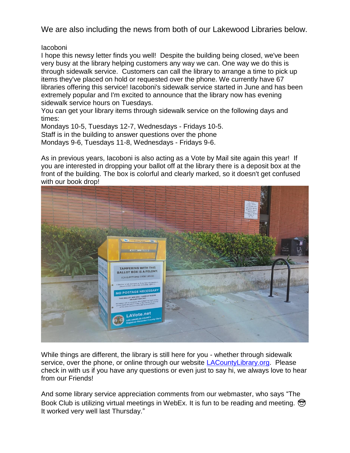We are also including the news from both of our Lakewood Libraries below.

## Iacoboni

I hope this newsy letter finds you well! Despite the building being closed, we've been very busy at the library helping customers any way we can. One way we do this is through sidewalk service. Customers can call the library to arrange a time to pick up items they've placed on hold or requested over the phone. We currently have 67 libraries offering this service! Iacoboni's sidewalk service started in June and has been extremely popular and I'm excited to announce that the library now has evening sidewalk service hours on Tuesdays.

You can get your library items through sidewalk service on the following days and times:

Mondays 10-5, Tuesdays 12-7, Wednesdays - Fridays 10-5. Staff is in the building to answer questions over the phone Mondays 9-6, Tuesdays 11-8, Wednesdays - Fridays 9-6.

As in previous years, Iacoboni is also acting as a Vote by Mail site again this year! If you are interested in dropping your ballot off at the library there is a deposit box at the front of the building. The box is colorful and clearly marked, so it doesn't get confused with our book drop!



While things are different, the library is still here for you - whether through sidewalk service, over the phone, or online through our website [LACountyLibrary.org.](http://lacountylibrary.org/) Please check in with us if you have any questions or even just to say hi, we always love to hear from our Friends!

And some library service appreciation comments from our webmaster, who says "The Book Club is utilizing virtual meetings in WebEx. It is fun to be reading and meeting.  $\circled{2}$ It worked very well last Thursday."